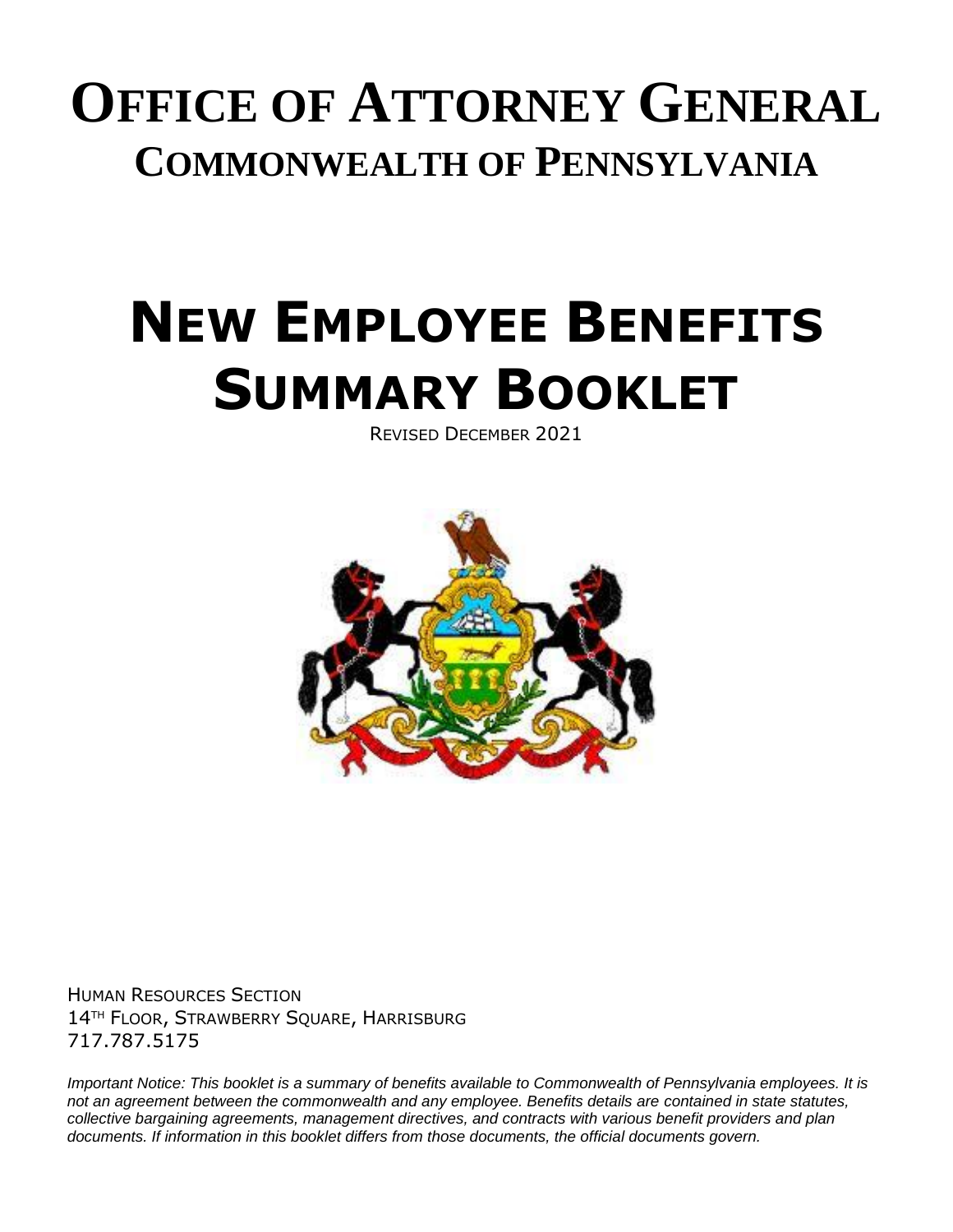# **OFFICE OF ATTORNEY GENERAL COMMONWEALTH OF PENNSYLVANIA**

# **NEW EMPLOYEE BENEFITS SUMMARY BOOKLET**

REVISED DECEMBER 2021



HUMAN RESOURCES SECTION 14TH FLOOR, STRAWBERRY SQUARE, HARRISBURG 717.787.5175

*Important Notice: This booklet is a summary of benefits available to Commonwealth of Pennsylvania employees. It is not an agreement between the commonwealth and any employee. Benefits details are contained in state statutes, collective bargaining agreements, management directives, and contracts with various benefit providers and plan documents. If information in this booklet differs from those documents, the official documents govern.*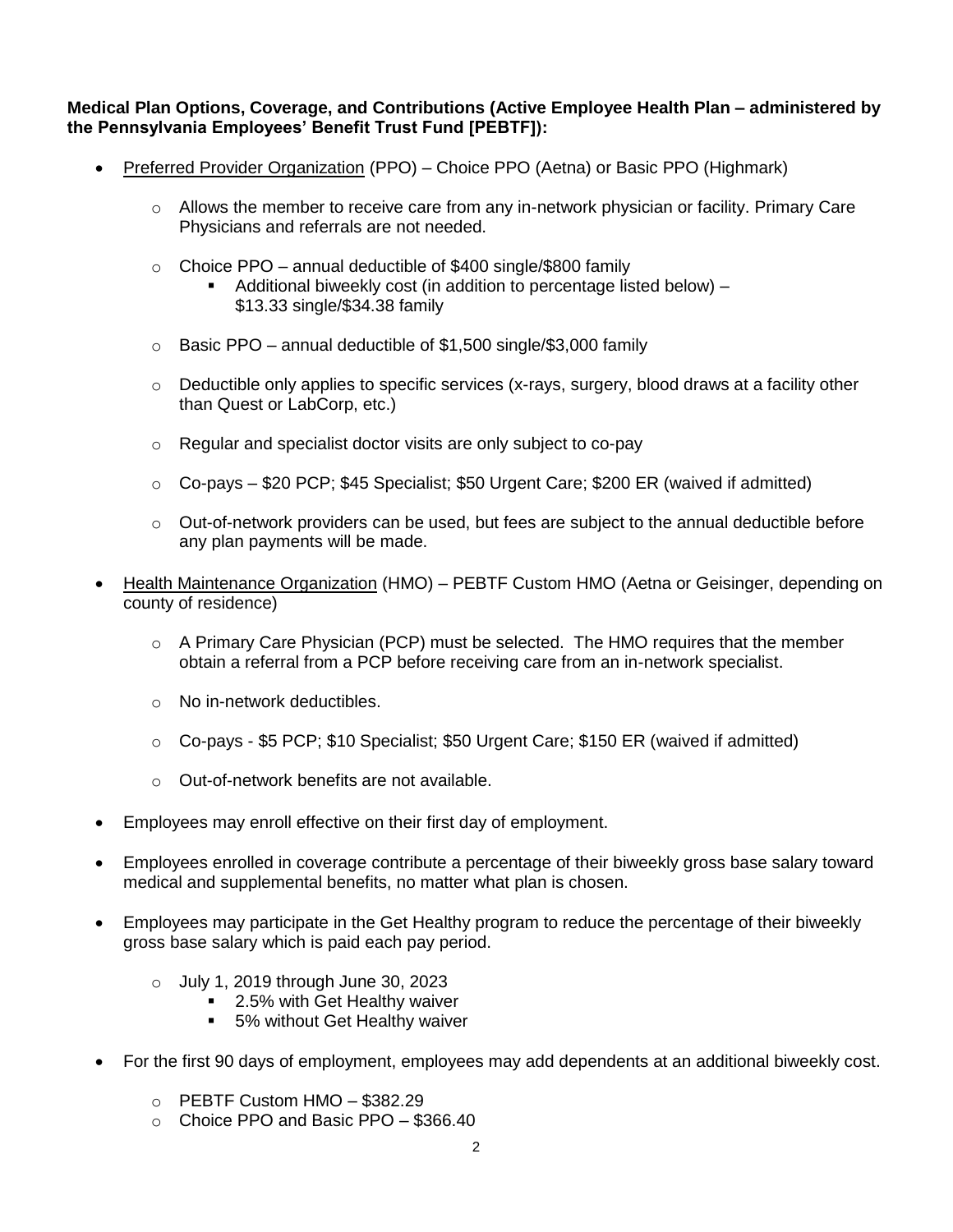**Medical Plan Options, Coverage, and Contributions (Active Employee Health Plan – administered by the Pennsylvania Employees' Benefit Trust Fund [PEBTF]):**

- Preferred Provider Organization (PPO) Choice PPO (Aetna) or Basic PPO (Highmark)
	- $\circ$  Allows the member to receive care from any in-network physician or facility. Primary Care Physicians and referrals are not needed.
	- $\circ$  Choice PPO annual deductible of \$400 single/\$800 family
		- Additional biweekly cost (in addition to percentage listed below) \$13.33 single/\$34.38 family
	- $\circ$  Basic PPO annual deductible of \$1,500 single/\$3,000 family
	- $\circ$  Deductible only applies to specific services (x-rays, surgery, blood draws at a facility other than Quest or LabCorp, etc.)
	- o Regular and specialist doctor visits are only subject to co-pay
	- $\circ$  Co-pays \$20 PCP; \$45 Specialist; \$50 Urgent Care; \$200 ER (waived if admitted)
	- $\circ$  Out-of-network providers can be used, but fees are subject to the annual deductible before any plan payments will be made.
- Health Maintenance Organization (HMO) PEBTF Custom HMO (Aetna or Geisinger, depending on county of residence)
	- $\circ$  A Primary Care Physician (PCP) must be selected. The HMO requires that the member obtain a referral from a PCP before receiving care from an in-network specialist.
	- o No in-network deductibles.
	- o Co-pays \$5 PCP; \$10 Specialist; \$50 Urgent Care; \$150 ER (waived if admitted)
	- o Out-of-network benefits are not available.
- Employees may enroll effective on their first day of employment.
- Employees enrolled in coverage contribute a percentage of their biweekly gross base salary toward medical and supplemental benefits, no matter what plan is chosen.
- Employees may participate in the Get Healthy program to reduce the percentage of their biweekly gross base salary which is paid each pay period.
	- o July 1, 2019 through June 30, 2023
		- 2.5% with Get Healthy waiver
		- **5% without Get Healthy waiver**
- For the first 90 days of employment, employees may add dependents at an additional biweekly cost.
	- $\circ$  PEBTF Custom HMO \$382.29
	- o Choice PPO and Basic PPO \$366.40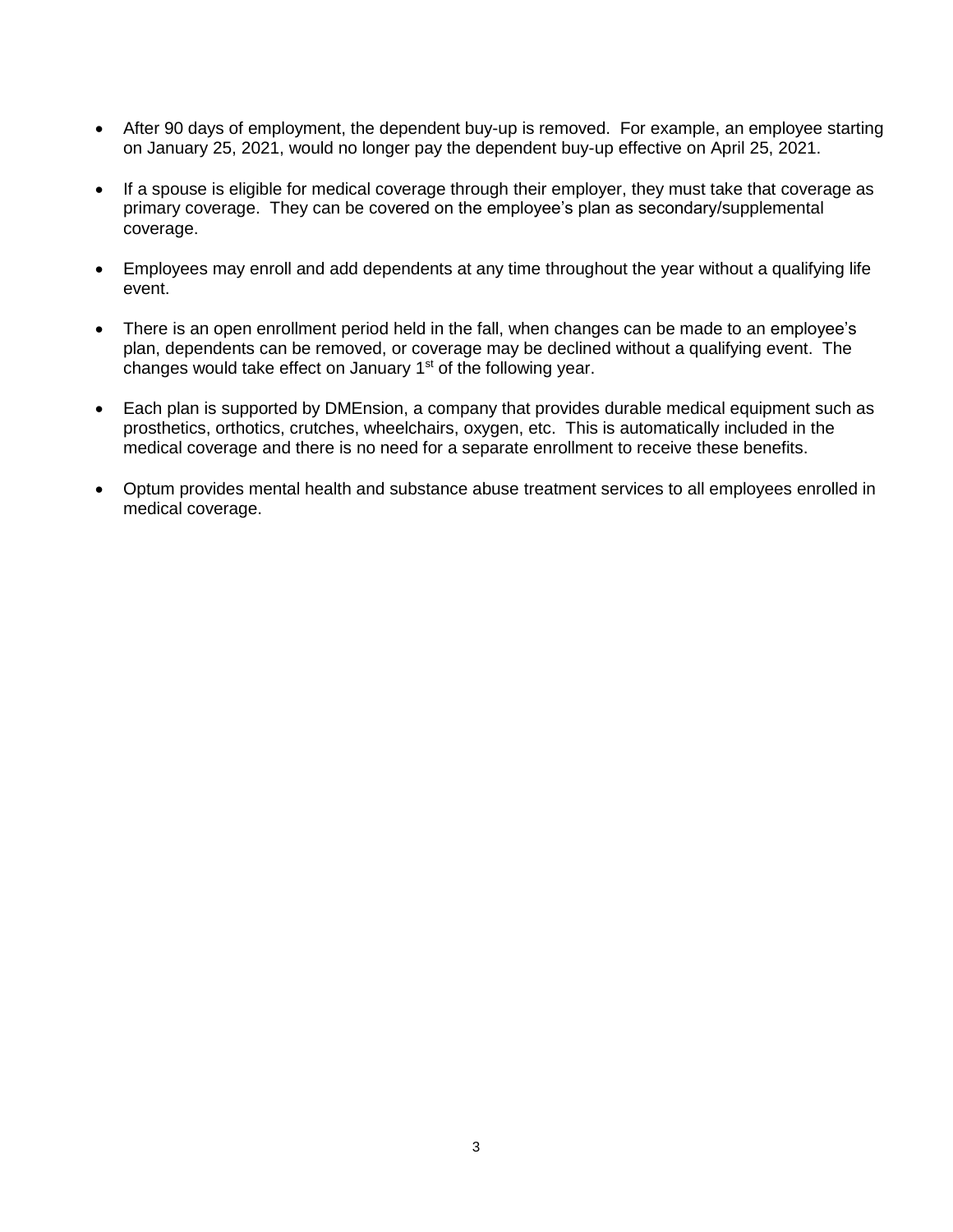- After 90 days of employment, the dependent buy-up is removed. For example, an employee starting on January 25, 2021, would no longer pay the dependent buy-up effective on April 25, 2021.
- If a spouse is eligible for medical coverage through their employer, they must take that coverage as primary coverage. They can be covered on the employee's plan as secondary/supplemental coverage.
- Employees may enroll and add dependents at any time throughout the year without a qualifying life event.
- There is an open enrollment period held in the fall, when changes can be made to an employee's plan, dependents can be removed, or coverage may be declined without a qualifying event. The changes would take effect on January  $1<sup>st</sup>$  of the following year.
- Each plan is supported by DMEnsion, a company that provides durable medical equipment such as prosthetics, orthotics, crutches, wheelchairs, oxygen, etc. This is automatically included in the medical coverage and there is no need for a separate enrollment to receive these benefits.
- Optum provides mental health and substance abuse treatment services to all employees enrolled in medical coverage.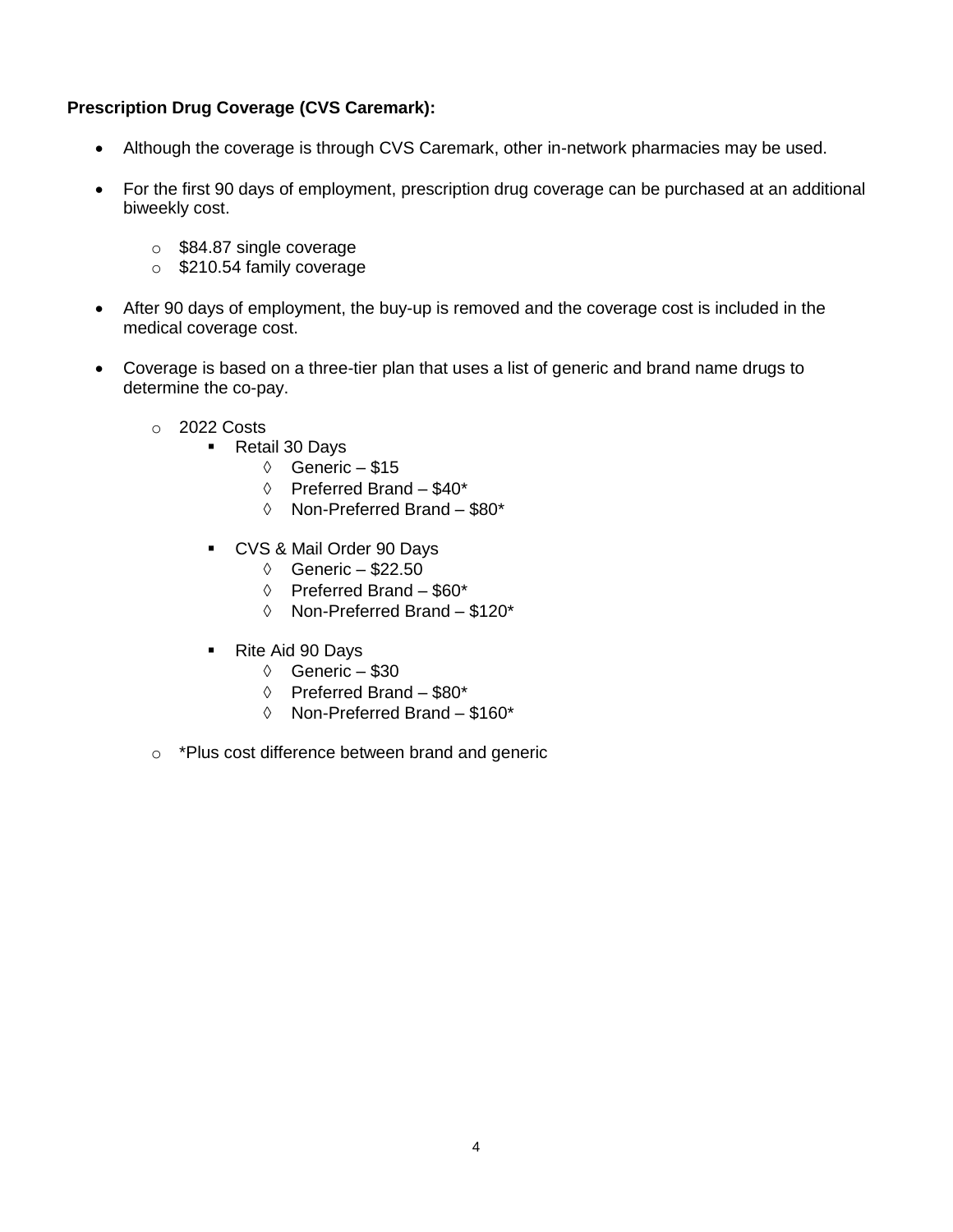# **Prescription Drug Coverage (CVS Caremark):**

- Although the coverage is through CVS Caremark, other in-network pharmacies may be used.
- For the first 90 days of employment, prescription drug coverage can be purchased at an additional biweekly cost.
	- o \$84.87 single coverage
	- o \$210.54 family coverage
- After 90 days of employment, the buy-up is removed and the coverage cost is included in the medical coverage cost.
- Coverage is based on a three-tier plan that uses a list of generic and brand name drugs to determine the co-pay.
	- o 2022 Costs
		- Retail 30 Days
			- $\Diamond$  Generic \$15
			- $\lozenge$  Preferred Brand \$40\*
			- Non-Preferred Brand \$80\*
		- CVS & Mail Order 90 Days
			- $\lozenge$  Generic \$22.50
			- $\Diamond$  Preferred Brand \$60\*
			- Non-Preferred Brand \$120\*
		- Rite Aid 90 Days
			- $\circ$  Generic \$30
			- $\Diamond$  Preferred Brand \$80\*
			- Non-Preferred Brand \$160\*
	- o \*Plus cost difference between brand and generic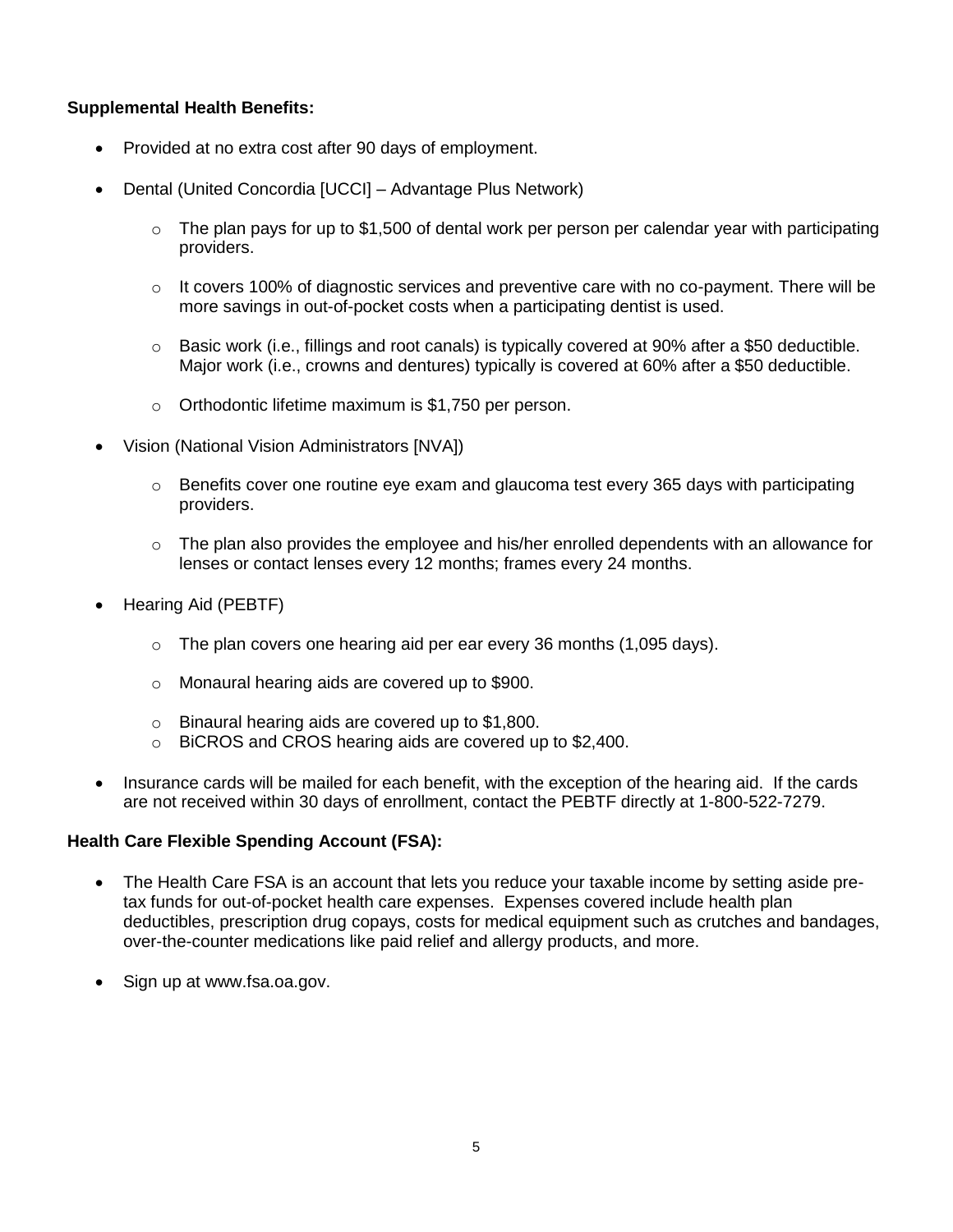#### **Supplemental Health Benefits:**

- Provided at no extra cost after 90 days of employment.
- Dental (United Concordia [UCCI] Advantage Plus Network)
	- $\circ$  The plan pays for up to \$1,500 of dental work per person per calendar year with participating providers.
	- $\circ$  It covers 100% of diagnostic services and preventive care with no co-payment. There will be more savings in out-of-pocket costs when a participating dentist is used.
	- o Basic work (i.e., fillings and root canals) is typically covered at 90% after a \$50 deductible. Major work (i.e., crowns and dentures) typically is covered at 60% after a \$50 deductible.
	- o Orthodontic lifetime maximum is \$1,750 per person.
- Vision (National Vision Administrators [NVA])
	- $\circ$  Benefits cover one routine eye exam and glaucoma test every 365 days with participating providers.
	- $\circ$  The plan also provides the employee and his/her enrolled dependents with an allowance for lenses or contact lenses every 12 months; frames every 24 months.
- Hearing Aid (PEBTF)
	- $\circ$  The plan covers one hearing aid per ear every 36 months (1,095 days).
	- o Monaural hearing aids are covered up to \$900.
	- o Binaural hearing aids are covered up to \$1,800.
	- o BiCROS and CROS hearing aids are covered up to \$2,400.
- Insurance cards will be mailed for each benefit, with the exception of the hearing aid. If the cards are not received within 30 days of enrollment, contact the PEBTF directly at 1-800-522-7279.

#### **Health Care Flexible Spending Account (FSA):**

- The Health Care FSA is an account that lets you reduce your taxable income by setting aside pretax funds for out-of-pocket health care expenses. Expenses covered include health plan deductibles, prescription drug copays, costs for medical equipment such as crutches and bandages, over-the-counter medications like paid relief and allergy products, and more.
- Sign up at www.fsa.oa.gov.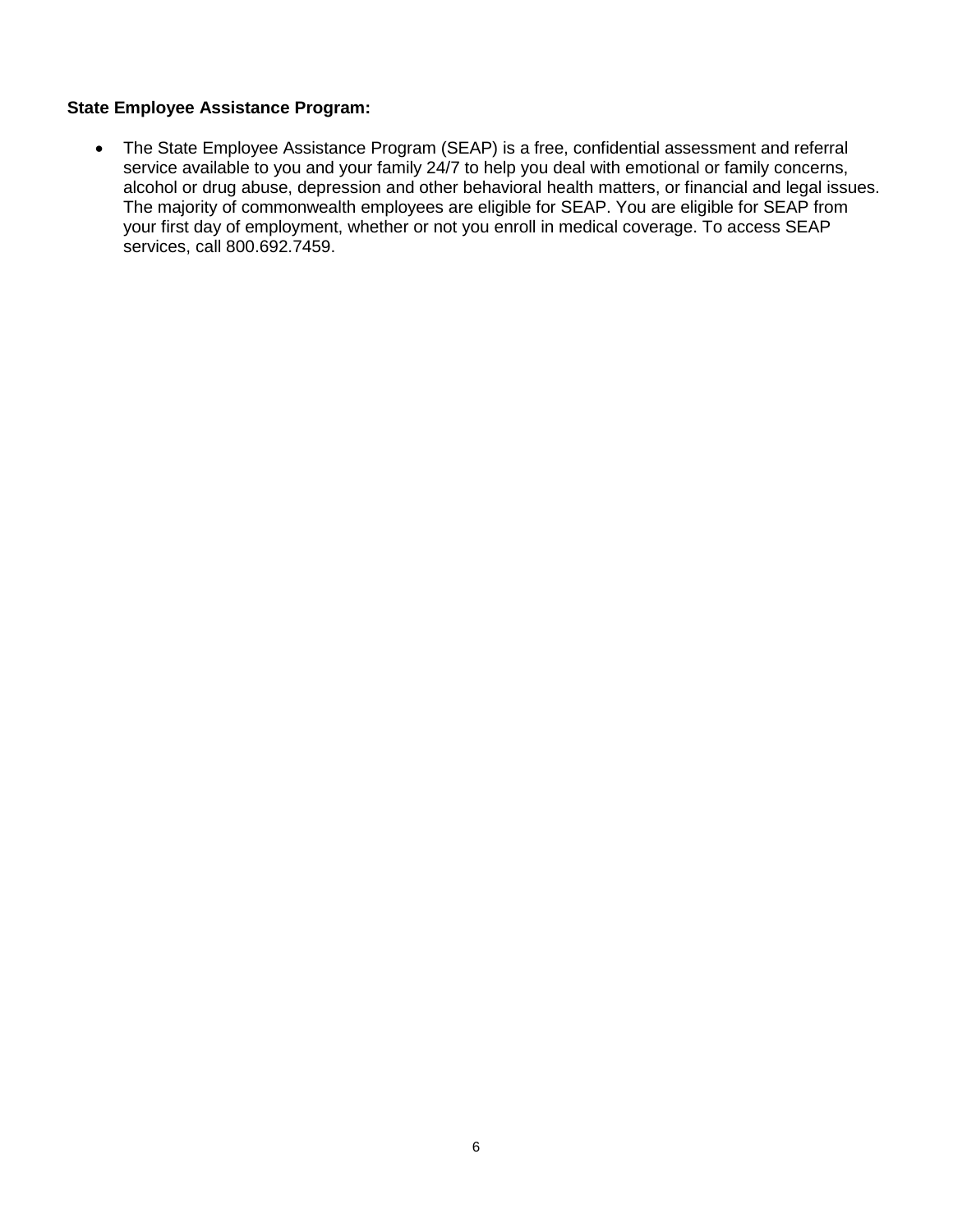#### **State Employee Assistance Program:**

 The State Employee Assistance Program (SEAP) is a free, confidential assessment and referral service available to you and your family 24/7 to help you deal with emotional or family concerns, alcohol or drug abuse, depression and other behavioral health matters, or financial and legal issues. The majority of commonwealth employees are eligible for SEAP. You are eligible for SEAP from your first day of employment, whether or not you enroll in medical coverage. To access SEAP services, call 800.692.7459.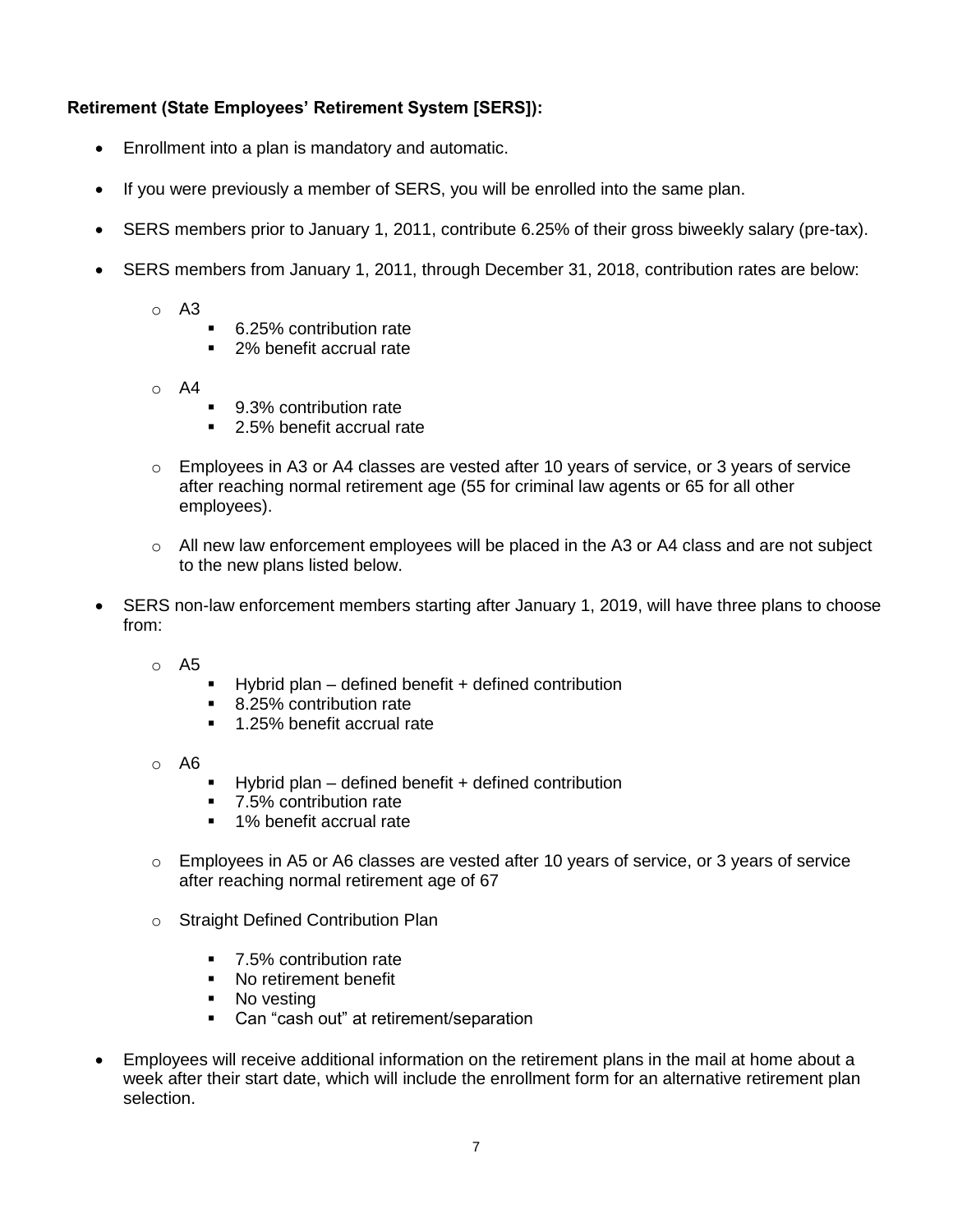# **Retirement (State Employees' Retirement System [SERS]):**

- Enrollment into a plan is mandatory and automatic.
- If you were previously a member of SERS, you will be enrolled into the same plan.
- SERS members prior to January 1, 2011, contribute 6.25% of their gross biweekly salary (pre-tax).
- SERS members from January 1, 2011, through December 31, 2018, contribution rates are below:
	- o A3
- 6.25% contribution rate
- 2% benefit accrual rate
- $\circ$  A4
- 9.3% contribution rate
- 2.5% benefit accrual rate
- $\circ$  Employees in A3 or A4 classes are vested after 10 years of service, or 3 years of service after reaching normal retirement age (55 for criminal law agents or 65 for all other employees).
- $\circ$  All new law enforcement employees will be placed in the A3 or A4 class and are not subject to the new plans listed below.
- SERS non-law enforcement members starting after January 1, 2019, will have three plans to choose from:
	- o A5
- $\blacksquare$  Hybrid plan defined benefit + defined contribution
- 8.25% contribution rate
- 1.25% benefit accrual rate
- o A6
- $\blacksquare$  Hybrid plan defined benefit + defined contribution
- 7.5% contribution rate
- 1% benefit accrual rate
- $\circ$  Employees in A5 or A6 classes are vested after 10 years of service, or 3 years of service after reaching normal retirement age of 67
- o Straight Defined Contribution Plan
	- 7.5% contribution rate
	- No retirement benefit
	- No vesting
	- Can "cash out" at retirement/separation
- Employees will receive additional information on the retirement plans in the mail at home about a week after their start date, which will include the enrollment form for an alternative retirement plan selection.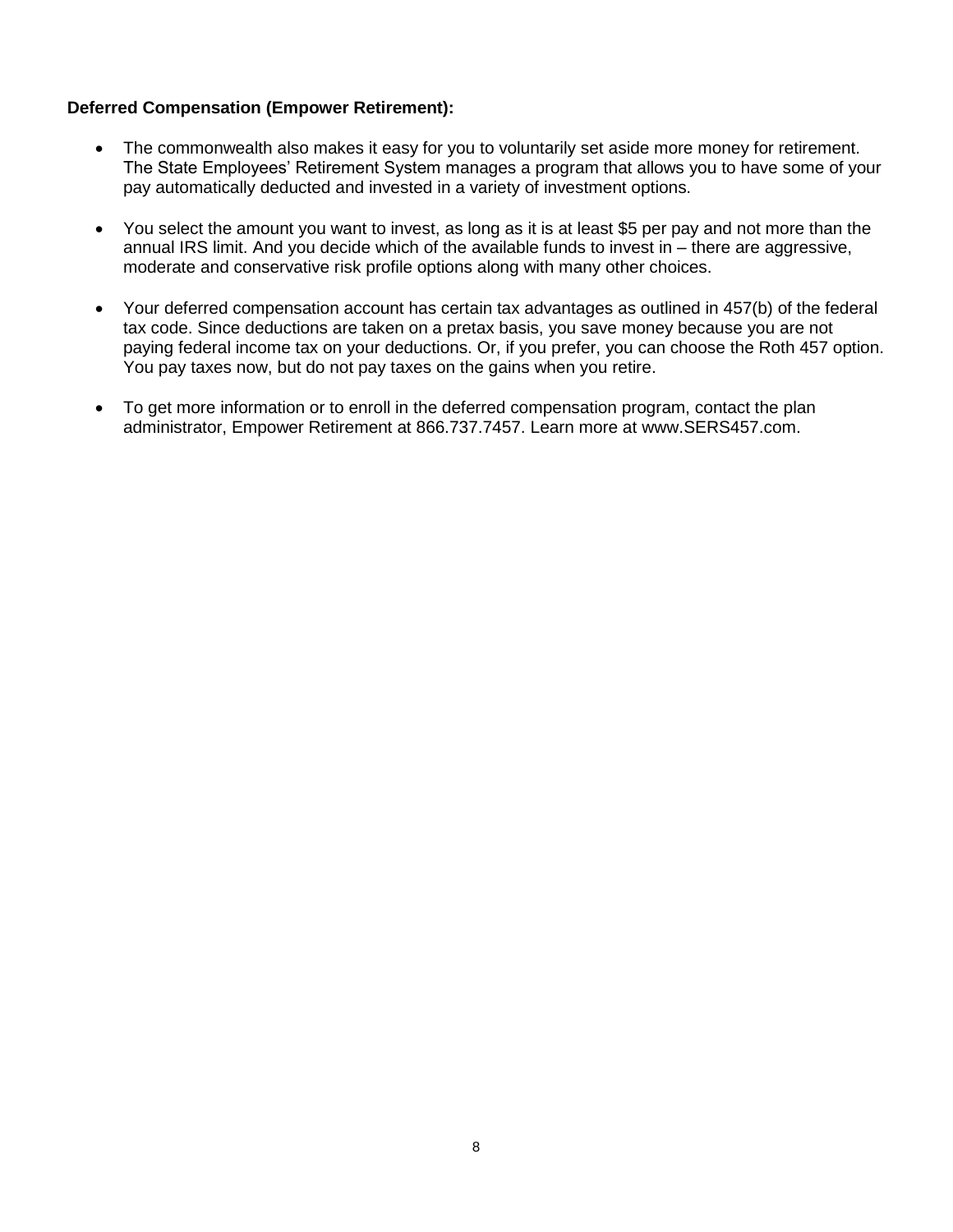## **Deferred Compensation (Empower Retirement):**

- The commonwealth also makes it easy for you to voluntarily set aside more money for retirement. The State Employees' Retirement System manages a program that allows you to have some of your pay automatically deducted and invested in a variety of investment options.
- You select the amount you want to invest, as long as it is at least \$5 per pay and not more than the annual IRS limit. And you decide which of the available funds to invest in – there are aggressive, moderate and conservative risk profile options along with many other choices.
- Your deferred compensation account has certain tax advantages as outlined in 457(b) of the federal tax code. Since deductions are taken on a pretax basis, you save money because you are not paying federal income tax on your deductions. Or, if you prefer, you can choose the Roth 457 option. You pay taxes now, but do not pay taxes on the gains when you retire.
- To get more information or to enroll in the deferred compensation program, contact the plan administrator, Empower Retirement at 866.737.7457. Learn more at www.SERS457.com.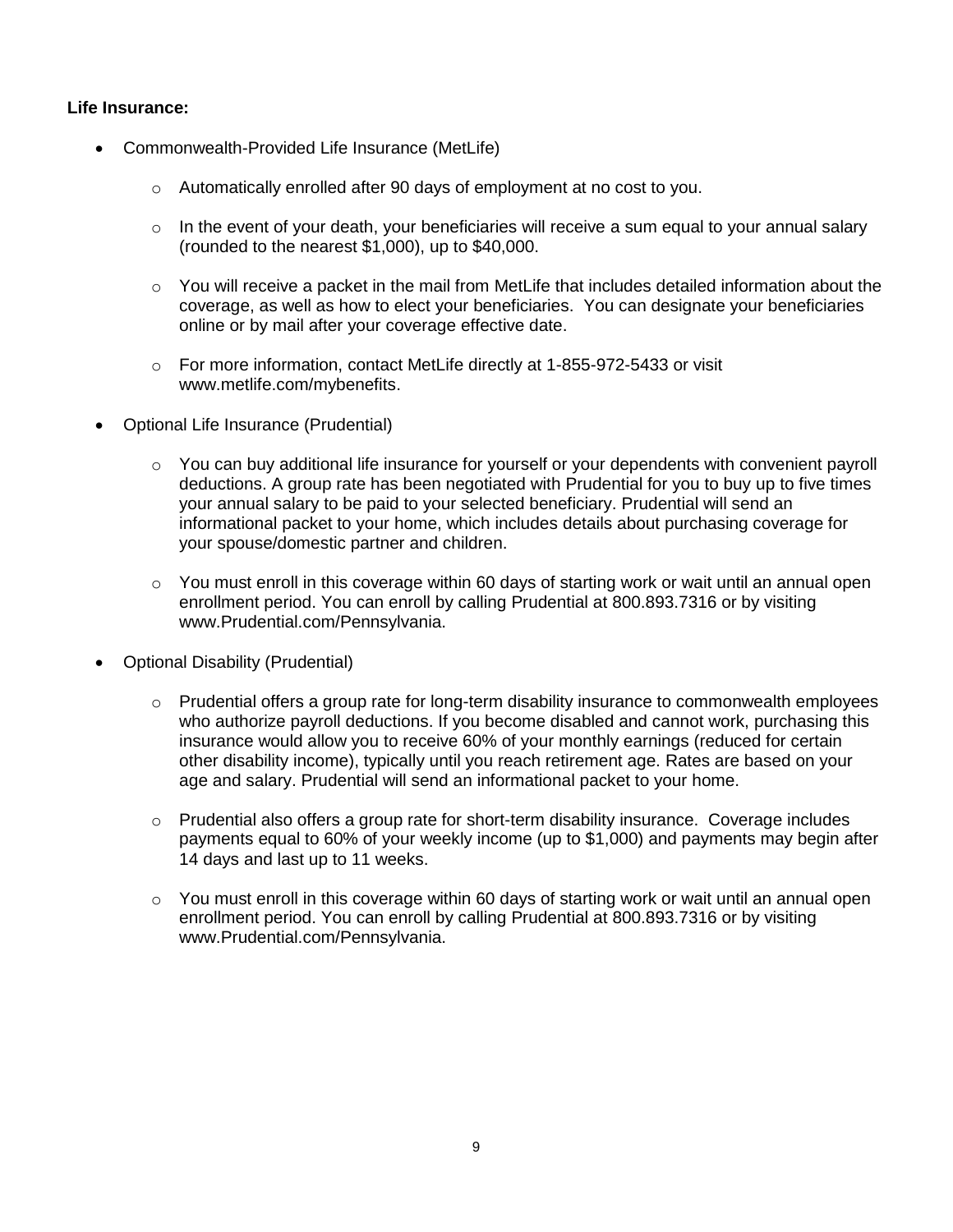#### **Life Insurance:**

- Commonwealth-Provided Life Insurance (MetLife)
	- o Automatically enrolled after 90 days of employment at no cost to you.
	- o In the event of your death, your beneficiaries will receive a sum equal to your annual salary (rounded to the nearest \$1,000), up to \$40,000.
	- $\circ$  You will receive a packet in the mail from MetLife that includes detailed information about the coverage, as well as how to elect your beneficiaries. You can designate your beneficiaries online or by mail after your coverage effective date.
	- o For more information, contact MetLife directly at 1-855-972-5433 or visit www.metlife.com/mybenefits.
- Optional Life Insurance (Prudential)
	- $\circ$  You can buy additional life insurance for yourself or your dependents with convenient payroll deductions. A group rate has been negotiated with Prudential for you to buy up to five times your annual salary to be paid to your selected beneficiary. Prudential will send an informational packet to your home, which includes details about purchasing coverage for your spouse/domestic partner and children.
	- $\circ$  You must enroll in this coverage within 60 days of starting work or wait until an annual open enrollment period. You can enroll by calling Prudential at 800.893.7316 or by visiting www.Prudential.com/Pennsylvania.
- Optional Disability (Prudential)
	- $\circ$  Prudential offers a group rate for long-term disability insurance to commonwealth employees who authorize payroll deductions. If you become disabled and cannot work, purchasing this insurance would allow you to receive 60% of your monthly earnings (reduced for certain other disability income), typically until you reach retirement age. Rates are based on your age and salary. Prudential will send an informational packet to your home.
	- o Prudential also offers a group rate for short-term disability insurance. Coverage includes payments equal to 60% of your weekly income (up to \$1,000) and payments may begin after 14 days and last up to 11 weeks.
	- $\circ$  You must enroll in this coverage within 60 days of starting work or wait until an annual open enrollment period. You can enroll by calling Prudential at 800.893.7316 or by visiting www.Prudential.com/Pennsylvania.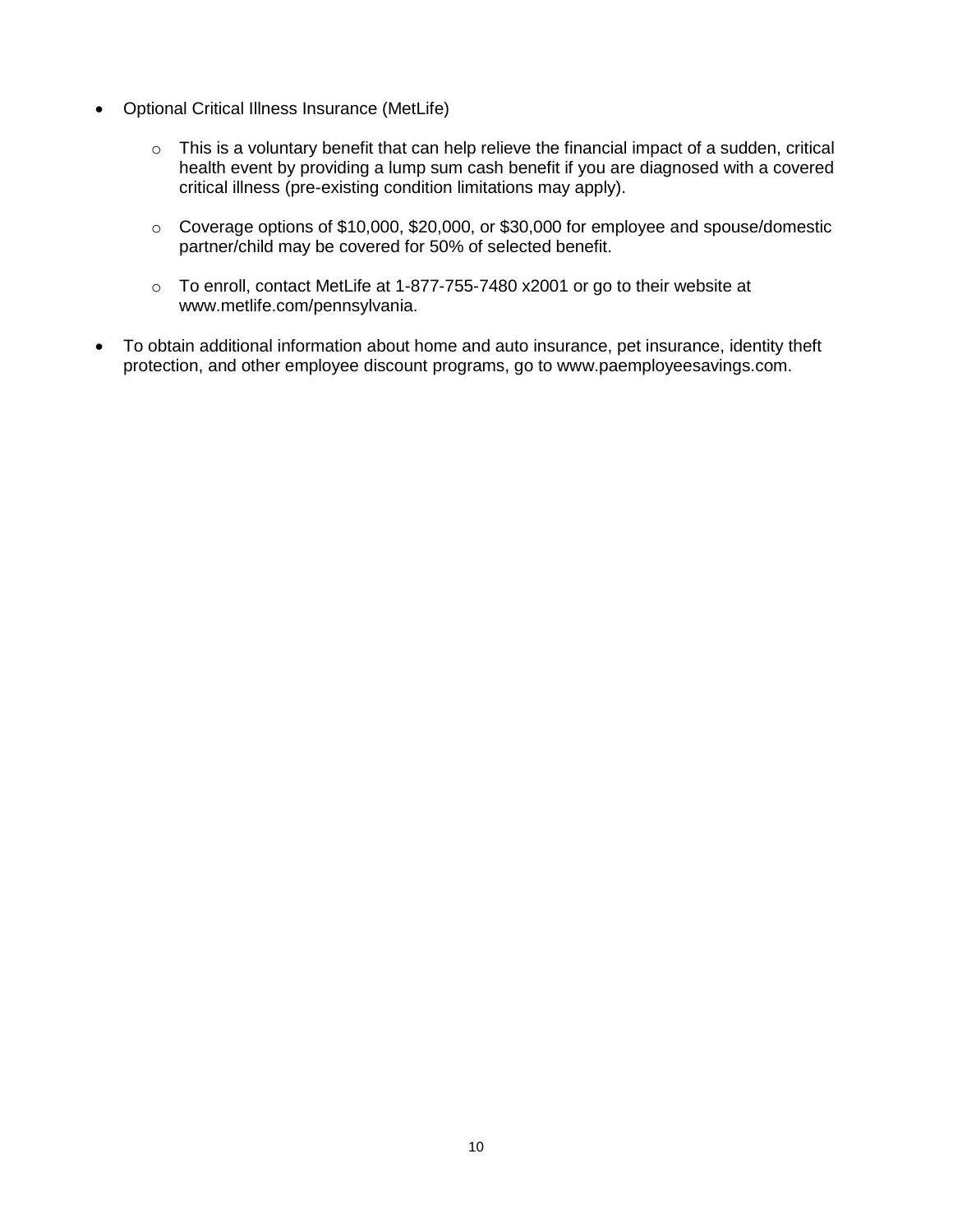- Optional Critical Illness Insurance (MetLife)
	- o This is a voluntary benefit that can help relieve the financial impact of a sudden, critical health event by providing a lump sum cash benefit if you are diagnosed with a covered critical illness (pre-existing condition limitations may apply).
	- o Coverage options of \$10,000, \$20,000, or \$30,000 for employee and spouse/domestic partner/child may be covered for 50% of selected benefit.
	- o To enroll, contact MetLife at 1-877-755-7480 x2001 or go to their website at www.metlife.com/pennsylvania.
- To obtain additional information about home and auto insurance, pet insurance, identity theft protection, and other employee discount programs, go to www.paemployeesavings.com.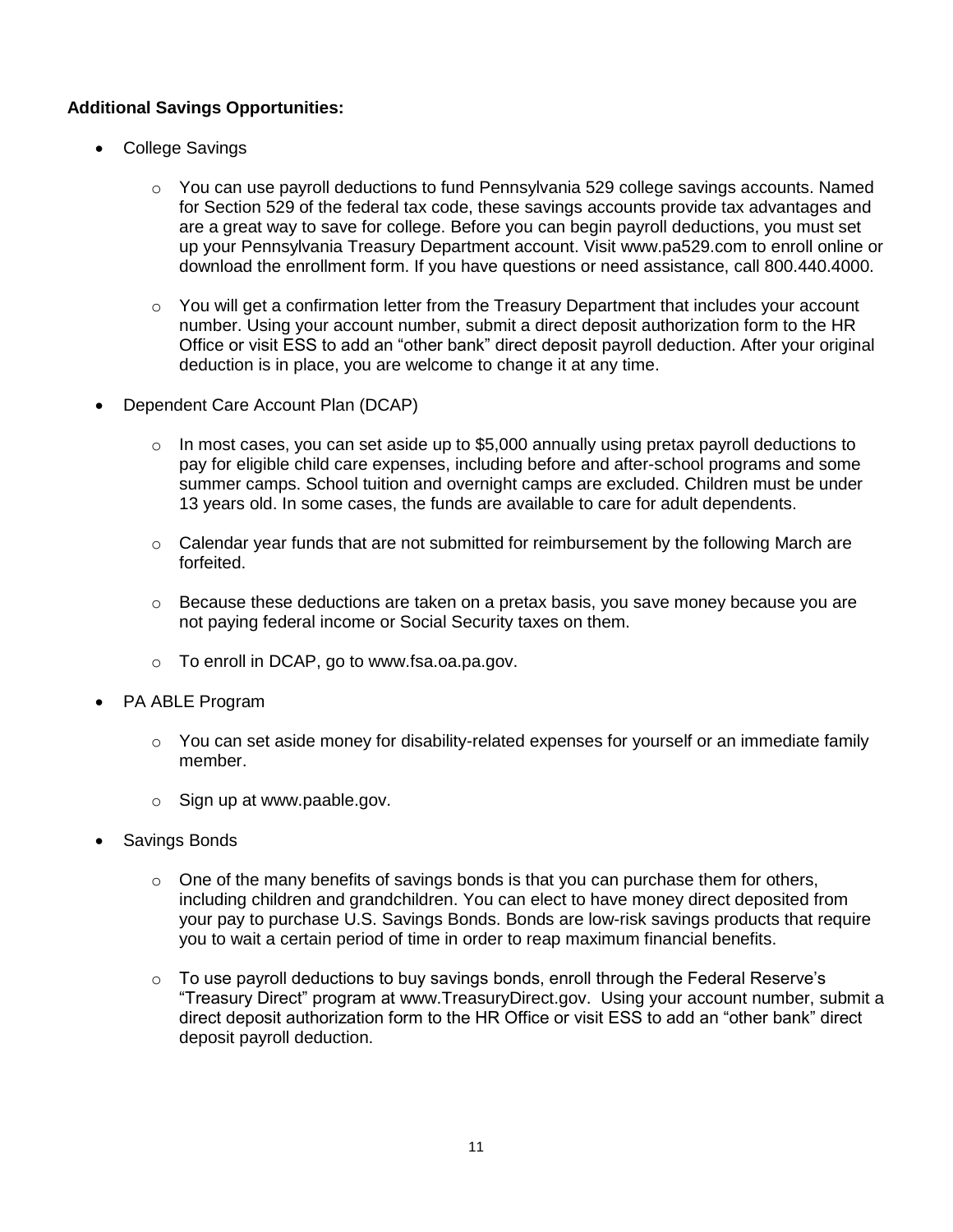# **Additional Savings Opportunities:**

- College Savings
	- $\circ$  You can use payroll deductions to fund Pennsylvania 529 college savings accounts. Named for Section 529 of the federal tax code, these savings accounts provide tax advantages and are a great way to save for college. Before you can begin payroll deductions, you must set up your Pennsylvania Treasury Department account. Visit www.pa529.com to enroll online or download the enrollment form. If you have questions or need assistance, call 800.440.4000.
	- $\circ$  You will get a confirmation letter from the Treasury Department that includes your account number. Using your account number, submit a direct deposit authorization form to the HR Office or visit ESS to add an "other bank" direct deposit payroll deduction. After your original deduction is in place, you are welcome to change it at any time.
- Dependent Care Account Plan (DCAP)
	- o In most cases, you can set aside up to \$5,000 annually using pretax payroll deductions to pay for eligible child care expenses, including before and after-school programs and some summer camps. School tuition and overnight camps are excluded. Children must be under 13 years old. In some cases, the funds are available to care for adult dependents.
	- $\circ$  Calendar year funds that are not submitted for reimbursement by the following March are forfeited.
	- $\circ$  Because these deductions are taken on a pretax basis, you save money because you are not paying federal income or Social Security taxes on them.
	- o To enroll in DCAP, go to www.fsa.oa.pa.gov.
- PA ABLE Program
	- $\circ$  You can set aside money for disability-related expenses for yourself or an immediate family member.
	- o Sign up at www.paable.gov.
- Savings Bonds
	- $\circ$  One of the many benefits of savings bonds is that you can purchase them for others, including children and grandchildren. You can elect to have money direct deposited from your pay to purchase U.S. Savings Bonds. Bonds are low-risk savings products that require you to wait a certain period of time in order to reap maximum financial benefits.
	- $\circ$  To use payroll deductions to buy savings bonds, enroll through the Federal Reserve's "Treasury Direct" program at www.TreasuryDirect.gov. Using your account number, submit a direct deposit authorization form to the HR Office or visit ESS to add an "other bank" direct deposit payroll deduction.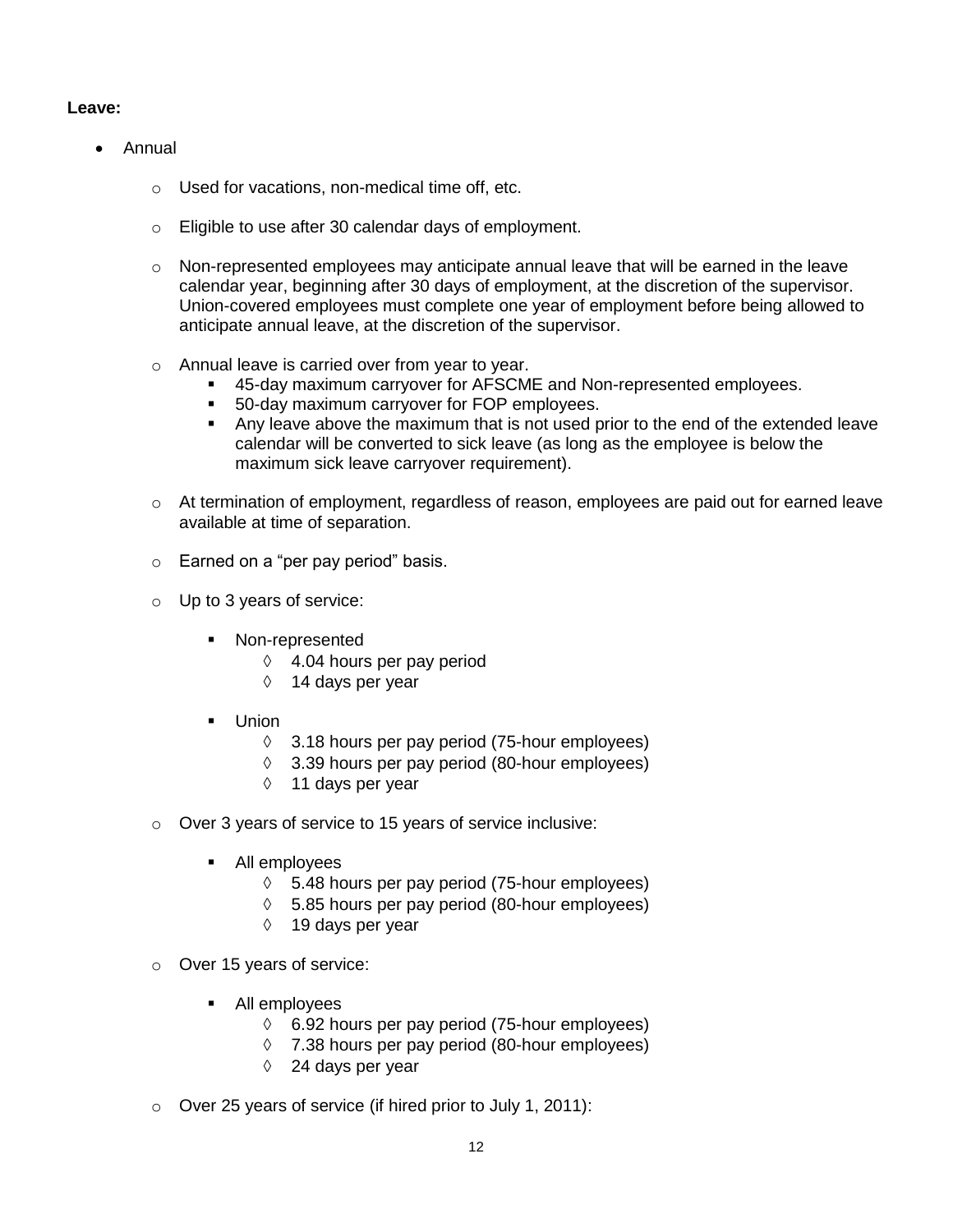## **Leave:**

- Annual
	- o Used for vacations, non-medical time off, etc.
	- o Eligible to use after 30 calendar days of employment.
	- $\circ$  Non-represented employees may anticipate annual leave that will be earned in the leave calendar year, beginning after 30 days of employment, at the discretion of the supervisor. Union-covered employees must complete one year of employment before being allowed to anticipate annual leave, at the discretion of the supervisor.
	- o Annual leave is carried over from year to year.
		- 45-day maximum carryover for AFSCME and Non-represented employees.
		- **50-day maximum carryover for FOP employees.**
		- Any leave above the maximum that is not used prior to the end of the extended leave calendar will be converted to sick leave (as long as the employee is below the maximum sick leave carryover requirement).
	- o At termination of employment, regardless of reason, employees are paid out for earned leave available at time of separation.
	- o Earned on a "per pay period" basis.
	- o Up to 3 years of service:
		- **Non-represented** 
			- $\Diamond$  4.04 hours per pay period
			- $\Diamond$  14 days per year
		- Union
			- $\Diamond$  3.18 hours per pay period (75-hour employees)
			- $\Diamond$  3.39 hours per pay period (80-hour employees)
			- $\Diamond$  11 days per year
	- o Over 3 years of service to 15 years of service inclusive:
		- All employees
			- $\lozenge$  5.48 hours per pay period (75-hour employees)
			- $\lozenge$  5.85 hours per pay period (80-hour employees)
			- $\Diamond$  19 days per year
	- o Over 15 years of service:
		- All employees
			- $\lozenge$  6.92 hours per pay period (75-hour employees)
			- $\lozenge$  7.38 hours per pay period (80-hour employees)
			- $\Diamond$  24 days per year
	- o Over 25 years of service (if hired prior to July 1, 2011):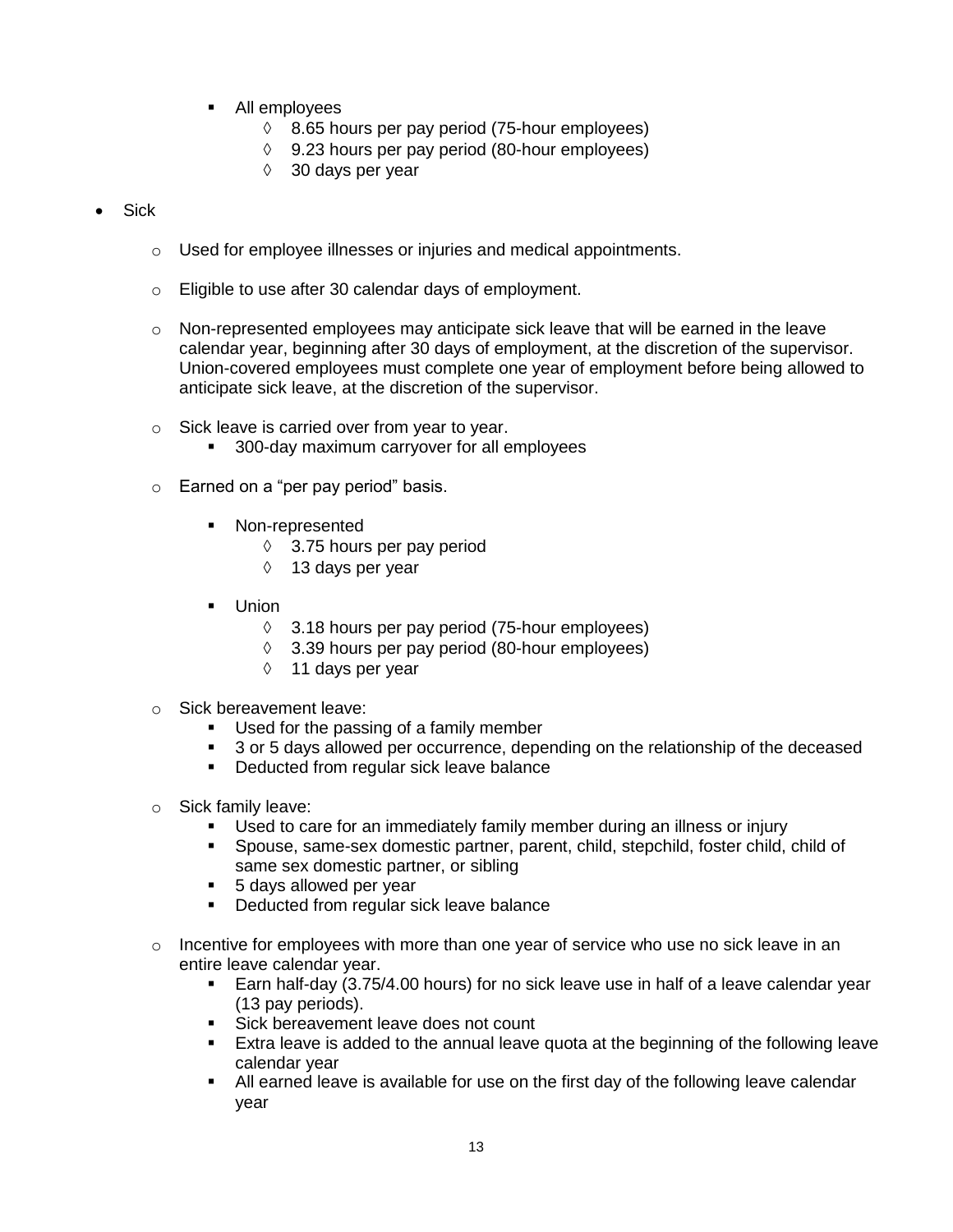- All employees
	- $\lozenge$  8.65 hours per pay period (75-hour employees)
	- $\lozenge$  9.23 hours per pay period (80-hour employees)
	- $\Diamond$  30 days per year
- Sick
	- o Used for employee illnesses or injuries and medical appointments.
	- o Eligible to use after 30 calendar days of employment.
	- $\circ$  Non-represented employees may anticipate sick leave that will be earned in the leave calendar year, beginning after 30 days of employment, at the discretion of the supervisor. Union-covered employees must complete one year of employment before being allowed to anticipate sick leave, at the discretion of the supervisor.
	- o Sick leave is carried over from year to year.
		- **300-day maximum carryover for all employees**
	- o Earned on a "per pay period" basis.
		- Non-represented
			- 3.75 hours per pay period
			- 13 days per year
		- **Union** 
			- $\Diamond$  3.18 hours per pay period (75-hour employees)
			- $\Diamond$  3.39 hours per pay period (80-hour employees)
			- $\Diamond$  11 days per year
	- o Sick bereavement leave:
		- Used for the passing of a family member
		- 3 or 5 days allowed per occurrence, depending on the relationship of the deceased
		- **•** Deducted from regular sick leave balance
	- o Sick family leave:
		- Used to care for an immediately family member during an illness or injury
		- Spouse, same-sex domestic partner, parent, child, stepchild, foster child, child of same sex domestic partner, or sibling
		- 5 days allowed per year
		- **•** Deducted from regular sick leave balance
	- $\circ$  Incentive for employees with more than one year of service who use no sick leave in an entire leave calendar year.
		- Earn half-day (3.75/4.00 hours) for no sick leave use in half of a leave calendar year (13 pay periods).
		- Sick bereavement leave does not count
		- **Extra leave is added to the annual leave quota at the beginning of the following leave** calendar year
		- All earned leave is available for use on the first day of the following leave calendar year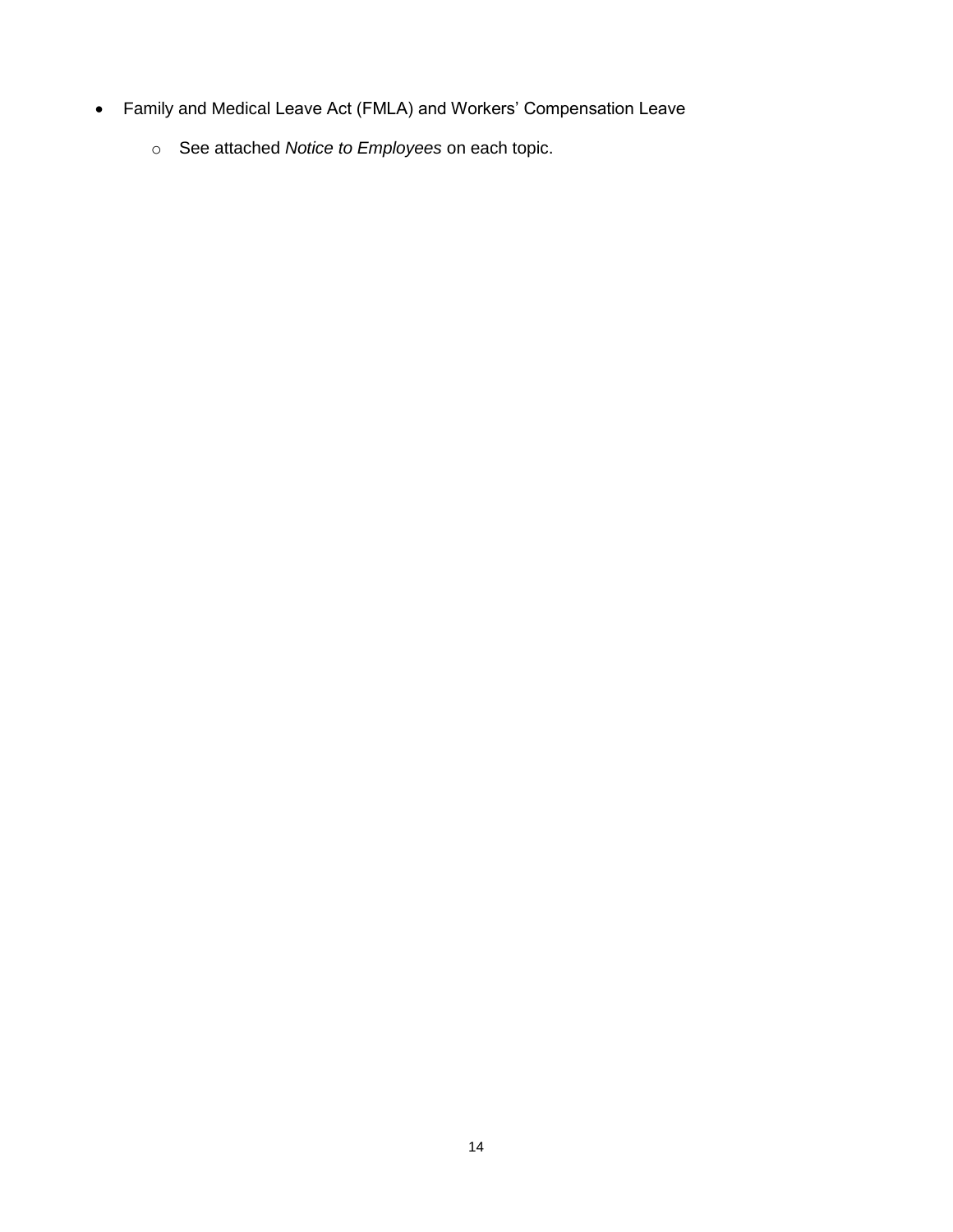- Family and Medical Leave Act (FMLA) and Workers' Compensation Leave
	- o See attached *Notice to Employees* on each topic.